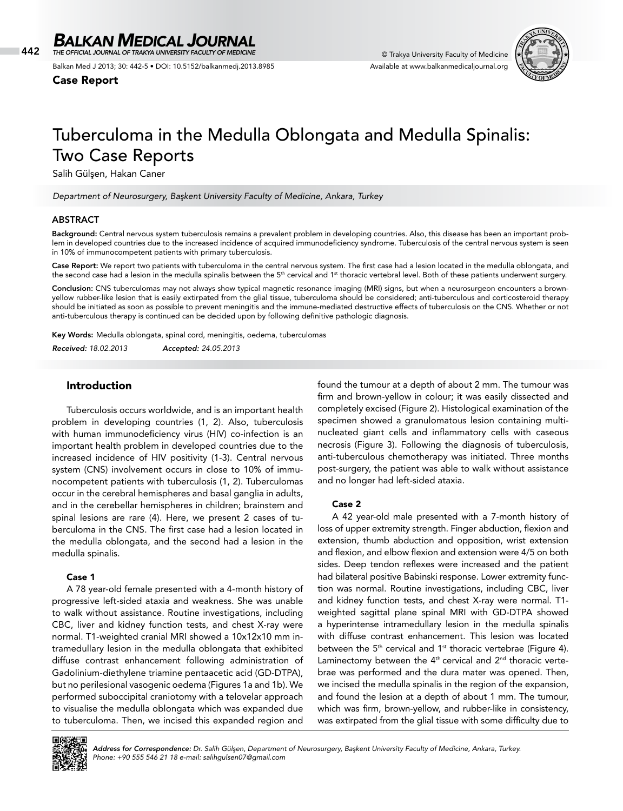442 © Trakya University Faculty of Medicine *THE OFFICIAL JOURNAL OF TRAKYA UNIVERSITY FACULTY OF MEDICINE*

Balkan Med J 2013; 30: 442-5 • DOI: 10.5152/balkanmedj.2013.8985

Case Report



# Tuberculoma in the Medulla Oblongata and Medulla Spinalis: Two Case Reports

Salih Gülşen, Hakan Caner

*Department of Neurosurgery, Başkent University Faculty of Medicine, Ankara, Turkey*

#### ABSTRACT

Background: Central nervous system tuberculosis remains a prevalent problem in developing countries. Also, this disease has been an important problem in developed countries due to the increased incidence of acquired immunodeficiency syndrome. Tuberculosis of the central nervous system is seen in 10% of immunocompetent patients with primary tuberculosis.

Case Report: We report two patients with tuberculoma in the central nervous system. The first case had a lesion located in the medulla oblongata, and the second case had a lesion in the medulla spinalis between the 5<sup>th</sup> cervical and 1<sup>st</sup> thoracic vertebral level. Both of these patients underwent surgery.

Conclusion: CNS tuberculomas may not always show typical magnetic resonance imaging (MRI) signs, but when a neurosurgeon encounters a brownyellow rubber-like lesion that is easily extirpated from the glial tissue, tuberculoma should be considered; anti-tuberculous and corticosteroid therapy should be initiated as soon as possible to prevent meningitis and the immune-mediated destructive effects of tuberculosis on the CNS. Whether or not anti-tuberculous therapy is continued can be decided upon by following definitive pathologic diagnosis.

Key Words: Medulla oblongata, spinal cord, meningitis, oedema, tuberculomas

*Received: 18.02.2013 Accepted: 24.05.2013*

## Introduction

Tuberculosis occurs worldwide, and is an important health problem in developing countries (1, 2). Also, tuberculosis with human immunodeficiency virus (HIV) co-infection is an important health problem in developed countries due to the increased incidence of HIV positivity (1-3). Central nervous system (CNS) involvement occurs in close to 10% of immunocompetent patients with tuberculosis (1, 2). Tuberculomas occur in the cerebral hemispheres and basal ganglia in adults, and in the cerebellar hemispheres in children; brainstem and spinal lesions are rare (4). Here, we present 2 cases of tuberculoma in the CNS. The first case had a lesion located in the medulla oblongata, and the second had a lesion in the medulla spinalis.

#### Case 1

A 78 year-old female presented with a 4-month history of progressive left-sided ataxia and weakness. She was unable to walk without assistance. Routine investigations, including CBC, liver and kidney function tests, and chest X-ray were normal. T1-weighted cranial MRI showed a 10x12x10 mm intramedullary lesion in the medulla oblongata that exhibited diffuse contrast enhancement following administration of Gadolinium-diethylene triamine pentaacetic acid (GD-DTPA), but no perilesional vasogenic oedema (Figures 1a and 1b). We performed suboccipital craniotomy with a telovelar approach to visualise the medulla oblongata which was expanded due to tuberculoma. Then, we incised this expanded region and

found the tumour at a depth of about 2 mm. The tumour was firm and brown-yellow in colour; it was easily dissected and completely excised (Figure 2). Histological examination of the specimen showed a granulomatous lesion containing multinucleated giant cells and inflammatory cells with caseous necrosis (Figure 3). Following the diagnosis of tuberculosis, anti-tuberculous chemotherapy was initiated. Three months post-surgery, the patient was able to walk without assistance and no longer had left-sided ataxia.

#### Case 2

A 42 year-old male presented with a 7-month history of loss of upper extremity strength. Finger abduction, flexion and extension, thumb abduction and opposition, wrist extension and flexion, and elbow flexion and extension were 4/5 on both sides. Deep tendon reflexes were increased and the patient had bilateral positive Babinski response. Lower extremity function was normal. Routine investigations, including CBC, liver and kidney function tests, and chest X-ray were normal. T1 weighted sagittal plane spinal MRI with GD-DTPA showed a hyperintense intramedullary lesion in the medulla spinalis with diffuse contrast enhancement. This lesion was located between the  $5<sup>th</sup>$  cervical and  $1<sup>st</sup>$  thoracic vertebrae (Figure 4). Laminectomy between the  $4<sup>th</sup>$  cervical and  $2<sup>nd</sup>$  thoracic vertebrae was performed and the dura mater was opened. Then, we incised the medulla spinalis in the region of the expansion, and found the lesion at a depth of about 1 mm. The tumour, which was firm, brown-yellow, and rubber-like in consistency, was extirpated from the glial tissue with some difficulty due to



*Address for Correspondence: Dr. Salih Gülşen, Department of Neurosurgery, Başkent University Faculty of Medicine, Ankara, Turkey. Phone: +90 555 546 21 18 e-mail: salihgulsen07@gmail.com*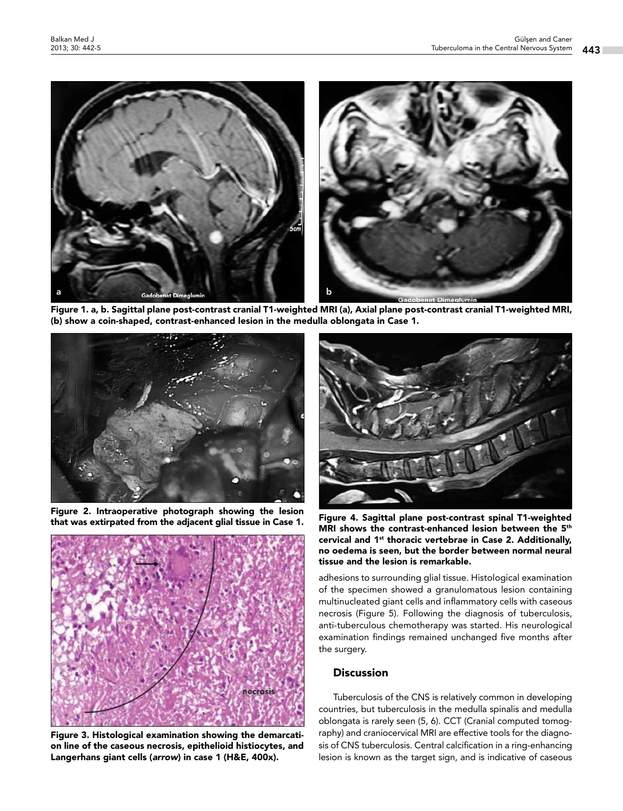

Figure 1. a, b. Sagittal plane post-contrast cranial T1-weighted MRI (a), Axial plane post-contrast cranial T1-weighted MRI, (b) show a coin-shaped, contrast-enhanced lesion in the medulla oblongata in Case 1.



Figure 2. Intraoperative photograph showing the lesion that was extirpated from the adjacent glial tissue in Case 1. Figure 4. Sagittal plane post-contrast spinal T1-weighted



Figure 3. Histological examination showing the demarcation line of the caseous necrosis, epithelioid histiocytes, and Langerhans giant cells (*arrow*) in case 1 (H&E, 400x).



MRI shows the contrast-enhanced lesion between the 5<sup>th</sup> cervical and 1st thoracic vertebrae in Case 2. Additionally, no oedema is seen, but the border between normal neural tissue and the lesion is remarkable.

adhesions to surrounding glial tissue. Histological examination of the specimen showed a granulomatous lesion containing multinucleated giant cells and inflammatory cells with caseous necrosis (Figure 5). Following the diagnosis of tuberculosis, anti-tuberculous chemotherapy was started. His neurological examination findings remained unchanged five months after the surgery.

# Discussion

Tuberculosis of the CNS is relatively common in developing countries, but tuberculosis in the medulla spinalis and medulla oblongata is rarely seen (5, 6). CCT (Cranial computed tomography) and craniocervical MRI are effective tools for the diagnosis of CNS tuberculosis. Central calcification in a ring-enhancing lesion is known as the target sign, and is indicative of caseous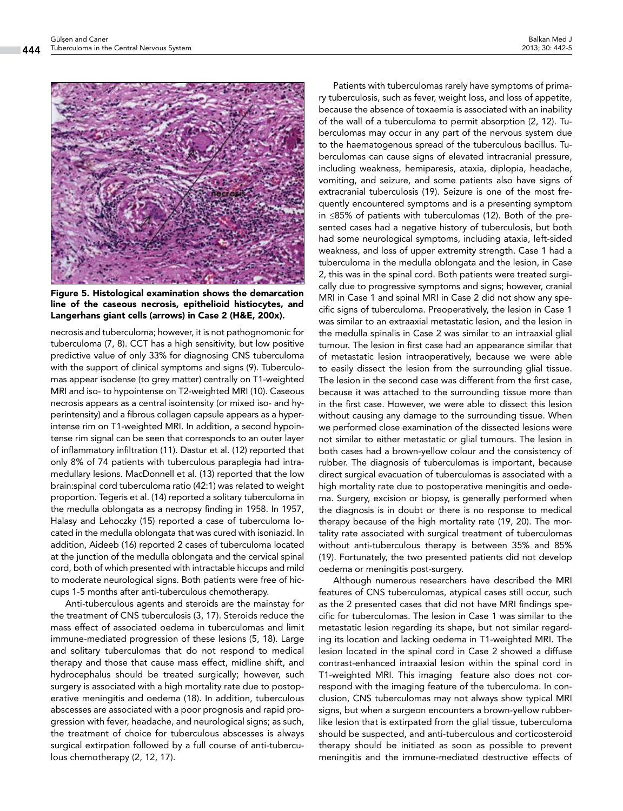

Figure 5. Histological examination shows the demarcation line of the caseous necrosis, epithelioid histiocytes, and Langerhans giant cells (arrows) in Case 2 (H&E, 200x).

necrosis and tuberculoma; however, it is not pathognomonic for tuberculoma (7, 8). CCT has a high sensitivity, but low positive predictive value of only 33% for diagnosing CNS tuberculoma with the support of clinical symptoms and signs (9). Tuberculomas appear isodense (to grey matter) centrally on T1-weighted MRI and iso- to hypointense on T2-weighted MRI (10). Caseous necrosis appears as a central isointensity (or mixed iso- and hyperintensity) and a fibrous collagen capsule appears as a hyperintense rim on T1-weighted MRI. In addition, a second hypointense rim signal can be seen that corresponds to an outer layer of inflammatory infiltration (11). Dastur et al. (12) reported that only 8% of 74 patients with tuberculous paraplegia had intramedullary lesions. MacDonnell et al. (13) reported that the low brain:spinal cord tuberculoma ratio (42:1) was related to weight proportion. Tegeris et al. (14) reported a solitary tuberculoma in the medulla oblongata as a necropsy finding in 1958. In 1957, Halasy and Lehoczky (15) reported a case of tuberculoma located in the medulla oblongata that was cured with isoniazid. In addition, Aideeb (16) reported 2 cases of tuberculoma located at the junction of the medulla oblongata and the cervical spinal cord, both of which presented with intractable hiccups and mild to moderate neurological signs. Both patients were free of hiccups 1-5 months after anti-tuberculous chemotherapy.

Anti-tuberculous agents and steroids are the mainstay for the treatment of CNS tuberculosis (3, 17). Steroids reduce the mass effect of associated oedema in tuberculomas and limit immune-mediated progression of these lesions (5, 18). Large and solitary tuberculomas that do not respond to medical therapy and those that cause mass effect, midline shift, and hydrocephalus should be treated surgically; however, such surgery is associated with a high mortality rate due to postoperative meningitis and oedema (18). In addition, tuberculous abscesses are associated with a poor prognosis and rapid progression with fever, headache, and neurological signs; as such, the treatment of choice for tuberculous abscesses is always surgical extirpation followed by a full course of anti-tuberculous chemotherapy (2, 12, 17).

Patients with tuberculomas rarely have symptoms of primary tuberculosis, such as fever, weight loss, and loss of appetite, because the absence of toxaemia is associated with an inability of the wall of a tuberculoma to permit absorption (2, 12). Tuberculomas may occur in any part of the nervous system due to the haematogenous spread of the tuberculous bacillus. Tuberculomas can cause signs of elevated intracranial pressure, including weakness, hemiparesis, ataxia, diplopia, headache, vomiting, and seizure, and some patients also have signs of extracranial tuberculosis (19). Seizure is one of the most frequently encountered symptoms and is a presenting symptom in ≤85% of patients with tuberculomas (12). Both of the presented cases had a negative history of tuberculosis, but both had some neurological symptoms, including ataxia, left-sided weakness, and loss of upper extremity strength. Case 1 had a tuberculoma in the medulla oblongata and the lesion, in Case 2, this was in the spinal cord. Both patients were treated surgically due to progressive symptoms and signs; however, cranial MRI in Case 1 and spinal MRI in Case 2 did not show any specific signs of tuberculoma. Preoperatively, the lesion in Case 1 was similar to an extraaxial metastatic lesion, and the lesion in the medulla spinalis in Case 2 was similar to an intraaxial glial tumour. The lesion in first case had an appearance similar that of metastatic lesion intraoperatively, because we were able to easily dissect the lesion from the surrounding glial tissue. The lesion in the second case was different from the first case, because it was attached to the surrounding tissue more than in the first case. However, we were able to dissect this lesion without causing any damage to the surrounding tissue. When we performed close examination of the dissected lesions were not similar to either metastatic or glial tumours. The lesion in both cases had a brown-yellow colour and the consistency of rubber. The diagnosis of tuberculomas is important, because direct surgical evacuation of tuberculomas is associated with a high mortality rate due to postoperative meningitis and oedema. Surgery, excision or biopsy, is generally performed when the diagnosis is in doubt or there is no response to medical therapy because of the high mortality rate (19, 20). The mortality rate associated with surgical treatment of tuberculomas without anti-tuberculous therapy is between 35% and 85% (19). Fortunately, the two presented patients did not develop oedema or meningitis post-surgery.

Although numerous researchers have described the MRI features of CNS tuberculomas, atypical cases still occur, such as the 2 presented cases that did not have MRI findings specific for tuberculomas. The lesion in Case 1 was similar to the metastatic lesion regarding its shape, but not similar regarding its location and lacking oedema in T1-weighted MRI. The lesion located in the spinal cord in Case 2 showed a diffuse contrast-enhanced intraaxial lesion within the spinal cord in T1-weighted MRI. This imaging feature also does not correspond with the imaging feature of the tuberculoma. In conclusion, CNS tuberculomas may not always show typical MRI signs, but when a surgeon encounters a brown-yellow rubberlike lesion that is extirpated from the glial tissue, tuberculoma should be suspected, and anti-tuberculous and corticosteroid therapy should be initiated as soon as possible to prevent meningitis and the immune-mediated destructive effects of